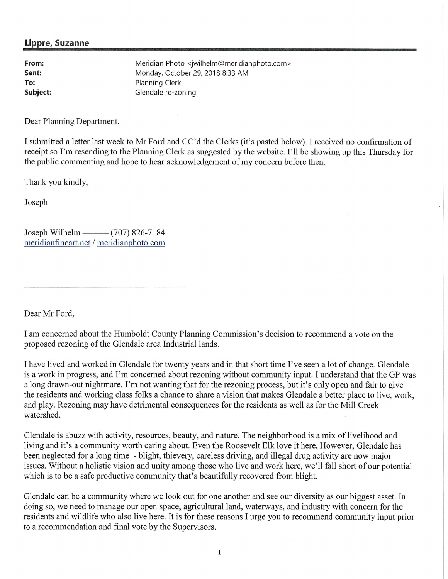## **Lippre, Suzanne**

**From: Sent: To: Subject:**  Meridian Photo <jwilhelm@meridianphoto.com > Monday, October 29, 2018 8:33 AM Planning Clerk Glendale re-zoning

Dear Planning Department,

I submitted a letter last week to Mr Ford and CC'd the Clerks (it's pasted below). I received no confinnation of receipt so I'm resending to the Planning Clerk as suggested by the website. I'll be showing up this Thursday for the public commenting and hope to hear acknowledgement of my concern before then.

Thank you kindly,

Joseph

Joseph Wilhelm — (707) 826-7184 meridianfineart.net / meridianphoto.com

Dear Mr Ford,

I am concerned about the Humboldt County Planning Commission's decision to recommend a vote on the proposed rezoning of the Glendale area Industrial lands.

I have lived and worked in Glendale for twenty years and in that short time I've seen a lot of change. Glendale is a work in progress, and I'm concerned about rezoning without community input. I understand that the GP was a long drawn-out nightmare. I'm not wanting that for the rezoning process, but it's only open and fair to give the residents and working class folks a chance to share a vision that makes Glendale a better place to live, work, and play. Rezoning may have detrimental consequences for the residents as well as for the Mill Creek watershed.

Glendale is abuzz with activity, resources, beauty, and nature. The neighborhood is a mix of livelihood and living and it's a community worth caring about. Even the Roosevelt Elk love it here. However, Glendale has been neglected for a long time - blight, thievery, careless driving, and illegal drug activity are now major issues. Without a holistic vision and unity among those who live and work here, we'll fall short of our potential which is to be a safe productive community that's beautifully recovered from blight.

Glendale can be a community where we look out for one another and see our diversity as our biggest asset. In doing so, we need to manage our open space, agricultural land, waterways, and industry with concern for the residents and wildlife who also live here. It is for these reasons I urge you to recommend community input prior to a recommendation and final vote by the Supervisors.